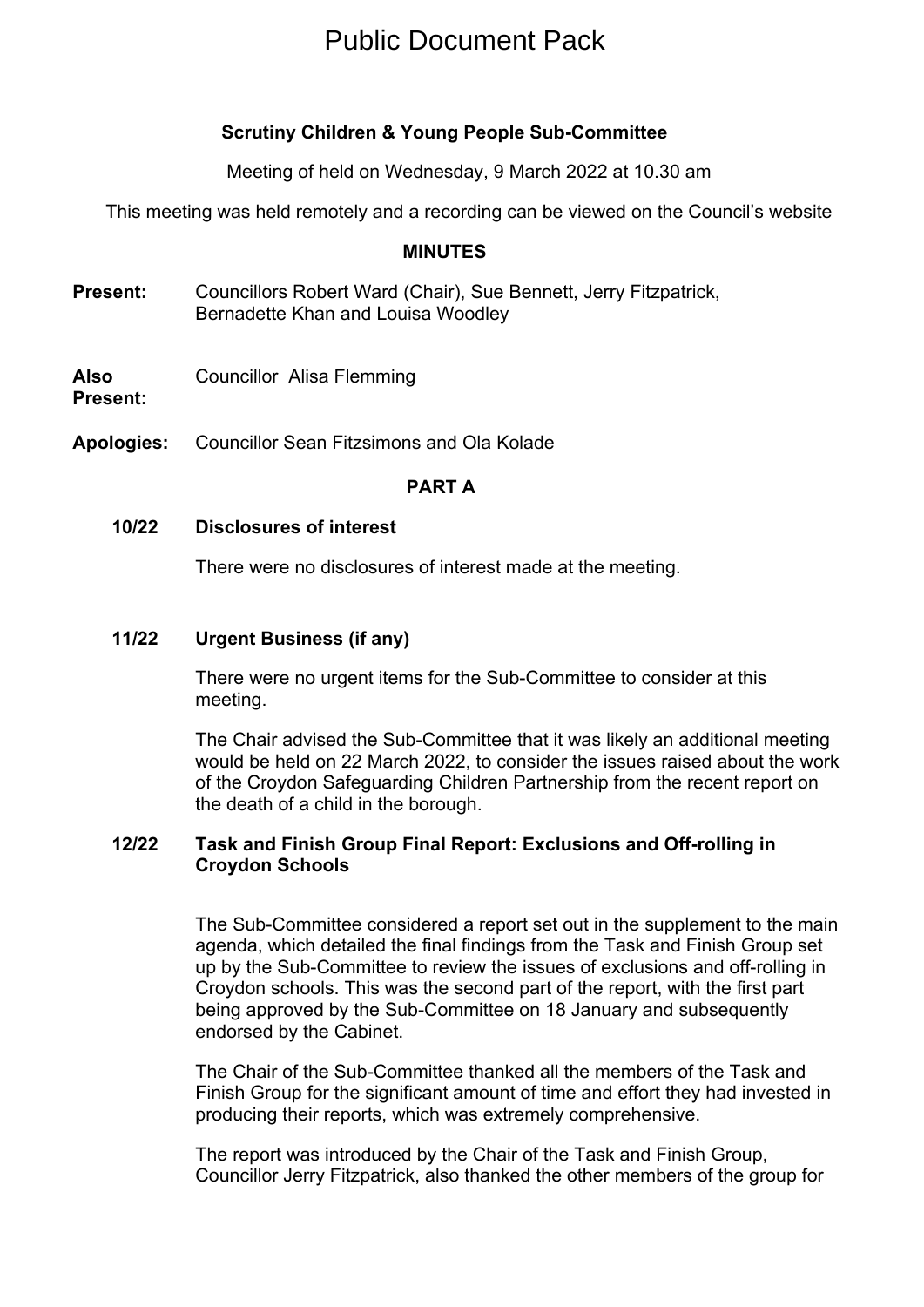# Public Document Pack

## **Scrutiny Children & Young People Sub-Committee**

Meeting of held on Wednesday, 9 March 2022 at 10.30 am

This meeting was held remotely and a recording can be viewed on the Council's website

#### **MINUTES**

- **Present:** Councillors Robert Ward (Chair), Sue Bennett, Jerry Fitzpatrick, Bernadette Khan and Louisa Woodley
- **Also** Councillor Alisa Flemming

**Present:**

**Apologies:** Councillor Sean Fitzsimons and Ola Kolade

#### **PART A**

**10/22 Disclosures of interest**

There were no disclosures of interest made at the meeting.

**11/22 Urgent Business (if any)**

There were no urgent items for the Sub-Committee to consider at this meeting.

The Chair advised the Sub-Committee that it was likely an additional meeting would be held on 22 March 2022, to consider the issues raised about the work of the Croydon Safeguarding Children Partnership from the recent report on the death of a child in the borough.

### **12/22 Task and Finish Group Final Report: Exclusions and Off-rolling in Croydon Schools**

The Sub-Committee considered a report set out in the supplement to the main agenda, which detailed the final findings from the Task and Finish Group set up by the Sub-Committee to review the issues of exclusions and off-rolling in Croydon schools. This was the second part of the report, with the first part being approved by the Sub-Committee on 18 January and subsequently endorsed by the Cabinet.

The Chair of the Sub-Committee thanked all the members of the Task and Finish Group for the significant amount of time and effort they had invested in producing their reports, which was extremely comprehensive.

The report was introduced by the Chair of the Task and Finish Group, Councillor Jerry Fitzpatrick, also thanked the other members of the group for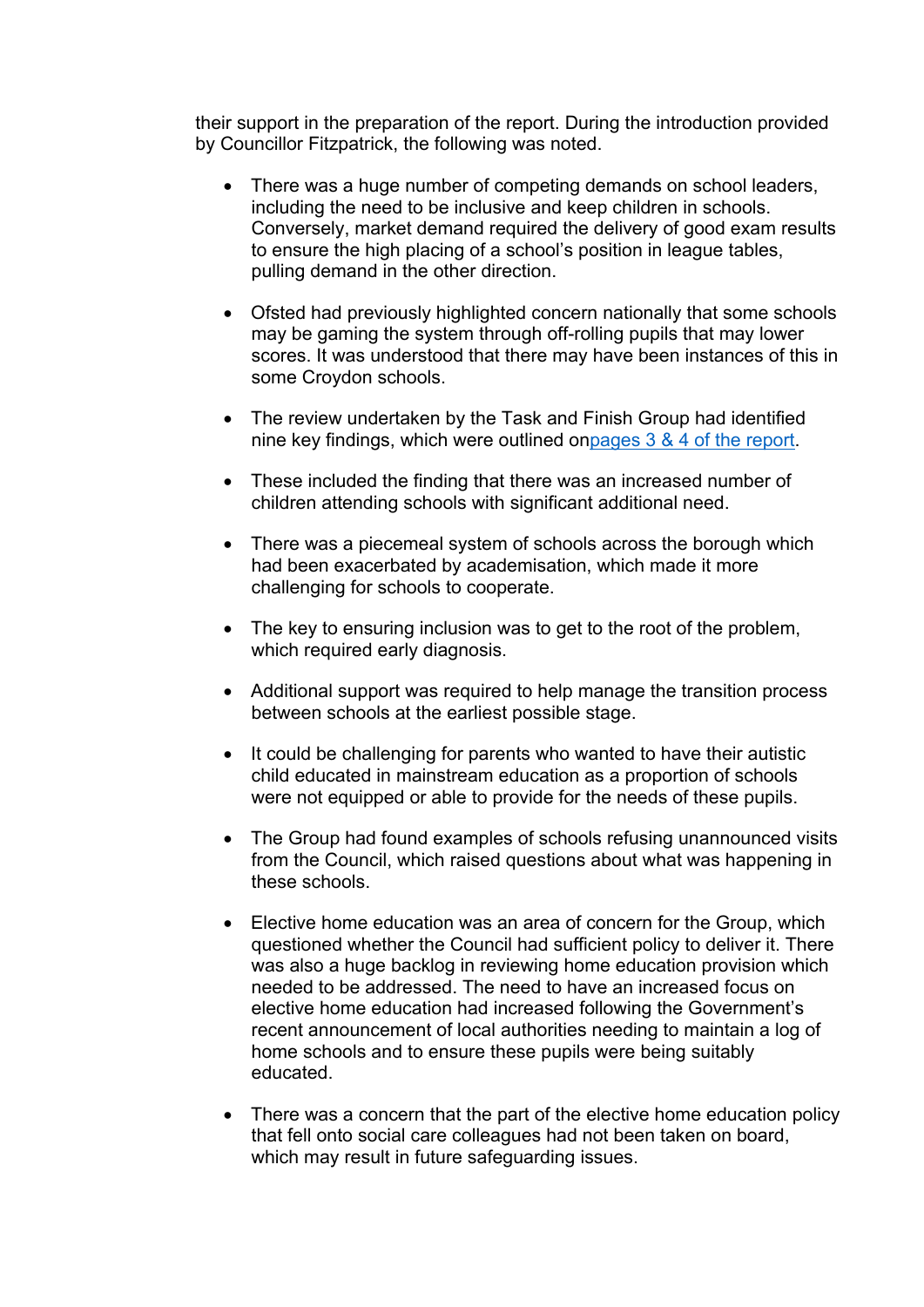their support in the preparation of the report. During the introduction provided by Councillor Fitzpatrick, the following was noted.

- There was a huge number of competing demands on school leaders, including the need to be inclusive and keep children in schools. Conversely, market demand required the delivery of good exam results to ensure the high placing of a school's position in league tables, pulling demand in the other direction.
- Ofsted had previously highlighted concern nationally that some schools may be gaming the system through off-rolling pupils that may lower scores. It was understood that there may have been instances of this in some Croydon schools.
- The review undertaken by the Task and Finish Group had identified nine key findings, which were outlined o[npages](https://democracy.croydon.gov.uk/documents/s36425/TF%20Group%20Report%20-%20Part%202.pdf) 3 & 4 of the report.
- These included the finding that there was an increased number of children attending schools with significant additional need.
- There was a piecemeal system of schools across the borough which had been exacerbated by academisation, which made it more challenging for schools to cooperate.
- The key to ensuring inclusion was to get to the root of the problem, which required early diagnosis.
- Additional support was required to help manage the transition process between schools at the earliest possible stage.
- It could be challenging for parents who wanted to have their autistic child educated in mainstream education as a proportion of schools were not equipped or able to provide for the needs of these pupils.
- The Group had found examples of schools refusing unannounced visits from the Council, which raised questions about what was happening in these schools.
- Elective home education was an area of concern for the Group, which questioned whether the Council had sufficient policy to deliver it. There was also a huge backlog in reviewing home education provision which needed to be addressed. The need to have an increased focus on elective home education had increased following the Government's recent announcement of local authorities needing to maintain a log of home schools and to ensure these pupils were being suitably educated.
- There was a concern that the part of the elective home education policy that fell onto social care colleagues had not been taken on board, which may result in future safeguarding issues.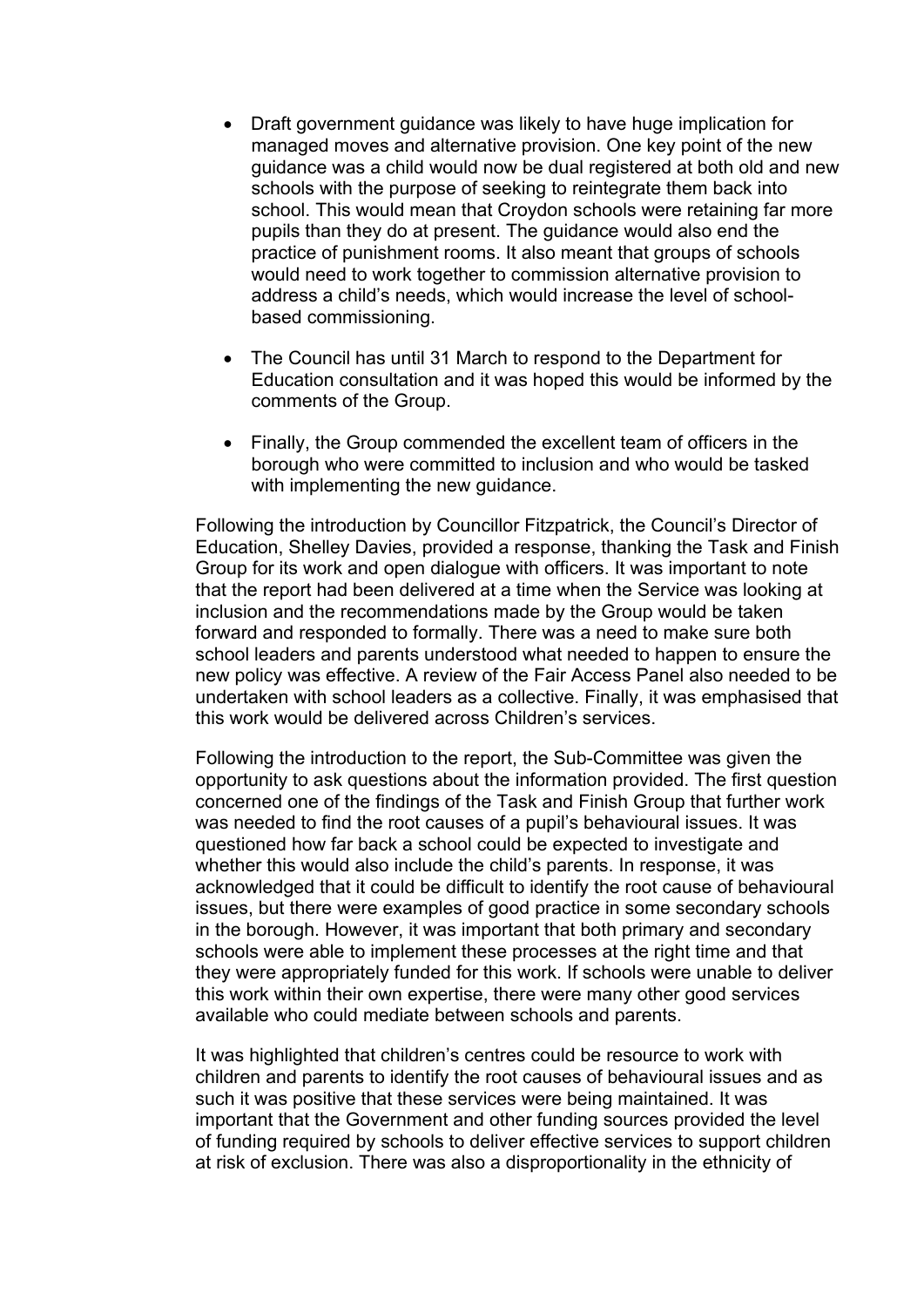- Draft government guidance was likely to have huge implication for managed moves and alternative provision. One key point of the new guidance was a child would now be dual registered at both old and new schools with the purpose of seeking to reintegrate them back into school. This would mean that Croydon schools were retaining far more pupils than they do at present. The guidance would also end the practice of punishment rooms. It also meant that groups of schools would need to work together to commission alternative provision to address a child's needs, which would increase the level of schoolbased commissioning.
- The Council has until 31 March to respond to the Department for Education consultation and it was hoped this would be informed by the comments of the Group.
- Finally, the Group commended the excellent team of officers in the borough who were committed to inclusion and who would be tasked with implementing the new quidance.

Following the introduction by Councillor Fitzpatrick, the Council's Director of Education, Shelley Davies, provided a response, thanking the Task and Finish Group for its work and open dialogue with officers. It was important to note that the report had been delivered at a time when the Service was looking at inclusion and the recommendations made by the Group would be taken forward and responded to formally. There was a need to make sure both school leaders and parents understood what needed to happen to ensure the new policy was effective. A review of the Fair Access Panel also needed to be undertaken with school leaders as a collective. Finally, it was emphasised that this work would be delivered across Children's services.

Following the introduction to the report, the Sub-Committee was given the opportunity to ask questions about the information provided. The first question concerned one of the findings of the Task and Finish Group that further work was needed to find the root causes of a pupil's behavioural issues. It was questioned how far back a school could be expected to investigate and whether this would also include the child's parents. In response, it was acknowledged that it could be difficult to identify the root cause of behavioural issues, but there were examples of good practice in some secondary schools in the borough. However, it was important that both primary and secondary schools were able to implement these processes at the right time and that they were appropriately funded for this work. If schools were unable to deliver this work within their own expertise, there were many other good services available who could mediate between schools and parents.

It was highlighted that children's centres could be resource to work with children and parents to identify the root causes of behavioural issues and as such it was positive that these services were being maintained. It was important that the Government and other funding sources provided the level of funding required by schools to deliver effective services to support children at risk of exclusion. There was also a disproportionality in the ethnicity of